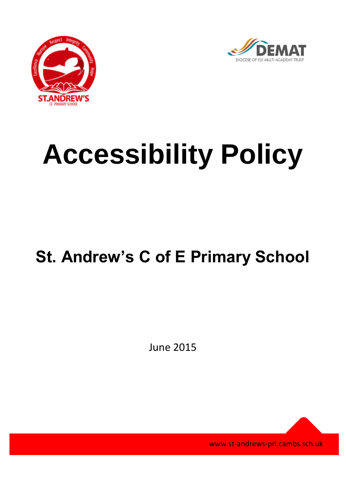



## **Accessibility Policy**

## **St. Andrew's C of E Primary School**

June 2015

www.st-andrews-pri.cambs.sch.uk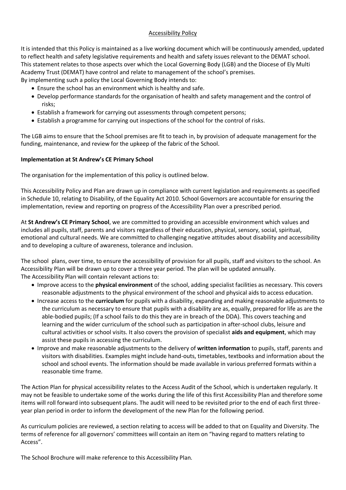## Accessibility Policy

It is intended that this Policy is maintained as a live working document which will be continuously amended, updated to reflect health and safety legislative requirements and health and safety issues relevant to the DEMAT school. This statement relates to those aspects over which the Local Governing Body (LGB) and the Diocese of Ely Multi Academy Trust (DEMAT) have control and relate to management of the school's premises. By implementing such a policy the Local Governing Body intends to:

Ensure the school has an environment which is healthy and safe.

- Develop performance standards for the organisation of health and safety management and the control of risks;
- Establish a framework for carrying out assessments through competent persons;
- Establish a programme for carrying out inspections of the school for the control of risks.

The LGB aims to ensure that the School premises are fit to teach in, by provision of adequate management for the funding, maintenance, and review for the upkeep of the fabric of the School.

## **Implementation at St Andrew's CE Primary School**

The organisation for the implementation of this policy is outlined below.

This Accessibility Policy and Plan are drawn up in compliance with current legislation and requirements as specified in Schedule 10, relating to Disability, of the Equality Act 2010. School Governors are accountable for ensuring the implementation, review and reporting on progress of the Accessibility Plan over a prescribed period.

At **St Andrew's CE Primary School**, we are committed to providing an accessible environment which values and includes all pupils, staff, parents and visitors regardless of their education, physical, sensory, social, spiritual, emotional and cultural needs. We are committed to challenging negative attitudes about disability and accessibility and to developing a culture of awareness, tolerance and inclusion.

The school plans, over time, to ensure the accessibility of provision for all pupils, staff and visitors to the school. An Accessibility Plan will be drawn up to cover a three year period. The plan will be updated annually. The Accessibility Plan will contain relevant actions to:

- Improve access to the **physical environment** of the school, adding specialist facilities as necessary. This covers reasonable adjustments to the physical environment of the school and physical aids to access education.
- Increase access to the **curriculum** for pupils with a disability, expanding and making reasonable adjustments to the curriculum as necessary to ensure that pupils with a disability are as, equally, prepared for life as are the able-bodied pupils; (If a school fails to do this they are in breach of the DDA). This covers teaching and learning and the wider curriculum of the school such as participation in after-school clubs, leisure and cultural activities or school visits. It also covers the provision of specialist **aids and equipment**, which may assist these pupils in accessing the curriculum.
- Improve and make reasonable adjustments to the delivery of **written information** to pupils, staff, parents and visitors with disabilities. Examples might include hand-outs, timetables, textbooks and information about the school and school events. The information should be made available in various preferred formats within a reasonable time frame.

The Action Plan for physical accessibility relates to the Access Audit of the School, which is undertaken regularly. It may not be feasible to undertake some of the works during the life of this first Accessibility Plan and therefore some items will roll forward into subsequent plans. The audit will need to be revisited prior to the end of each first threeyear plan period in order to inform the development of the new Plan for the following period.

As curriculum policies are reviewed, a section relating to access will be added to that on Equality and Diversity. The terms of reference for all governors' committees will contain an item on "having regard to matters relating to Access".

The School Brochure will make reference to this Accessibility Plan.